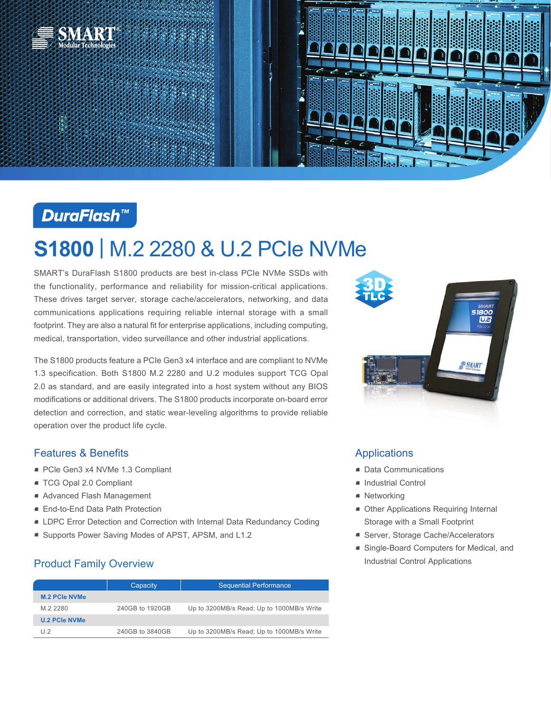



# **DuraFlash™**

# **S1800** | M.2 2280 & U.2 PCIe NVMe

SMART's DuraFlash S1800 products are best in-class PCIe NVMe SSDs with the functionality, performance and reliability for mission-critical applications. These drives target server, storage cache/accelerators, networking, and data communications applications requiring reliable internal storage with a small footprint. They are also a natural fit for enterprise applications, including computing, medical, transportation, video surveillance and other industrial applications.

The S1800 products feature a PCIe Gen3 x4 interface and are compliant to NVMe 1.3 specification. Both S1800 M.2 2280 and U.2 modules support TCG Opal 2.0 as standard, and are easily integrated into a host system without any BIOS modifications or additional drivers. The S1800 products incorporate on-board error detection and correction, and static wear-leveling algorithms to provide reliable operation over the product life cycle.

### Features & Benefits

- PCle Gen3 x4 NVMe 1.3 Compliant
- TCG Opal 2.0 Compliant
- Advanced Flash Management
- End-to-End Data Path Protection
- LDPC Error Detection and Correction with Internal Data Redundancy Coding
- Supports Power Saving Modes of APST, APSM, and L1.2

## Product Family Overview

|                      | Capacity        | <b>Sequential Performance</b>             |
|----------------------|-----------------|-------------------------------------------|
| <b>M.2 PCIe NVMe</b> |                 |                                           |
| M.2 2280             | 240GB to 1920GB | Up to 3200MB/s Read; Up to 1000MB/s Write |
| <b>U.2 PCIe NVMe</b> |                 |                                           |
| 112                  | 240GB to 3840GB | Up to 3200MB/s Read; Up to 1000MB/s Write |



## Applications

- Data Communications
- Industrial Control
- Networking
- Other Applications Requiring Internal Storage with a Small Footprint
- **Server, Storage Cache/Accelerators**
- Single-Board Computers for Medical, and Industrial Control Applications